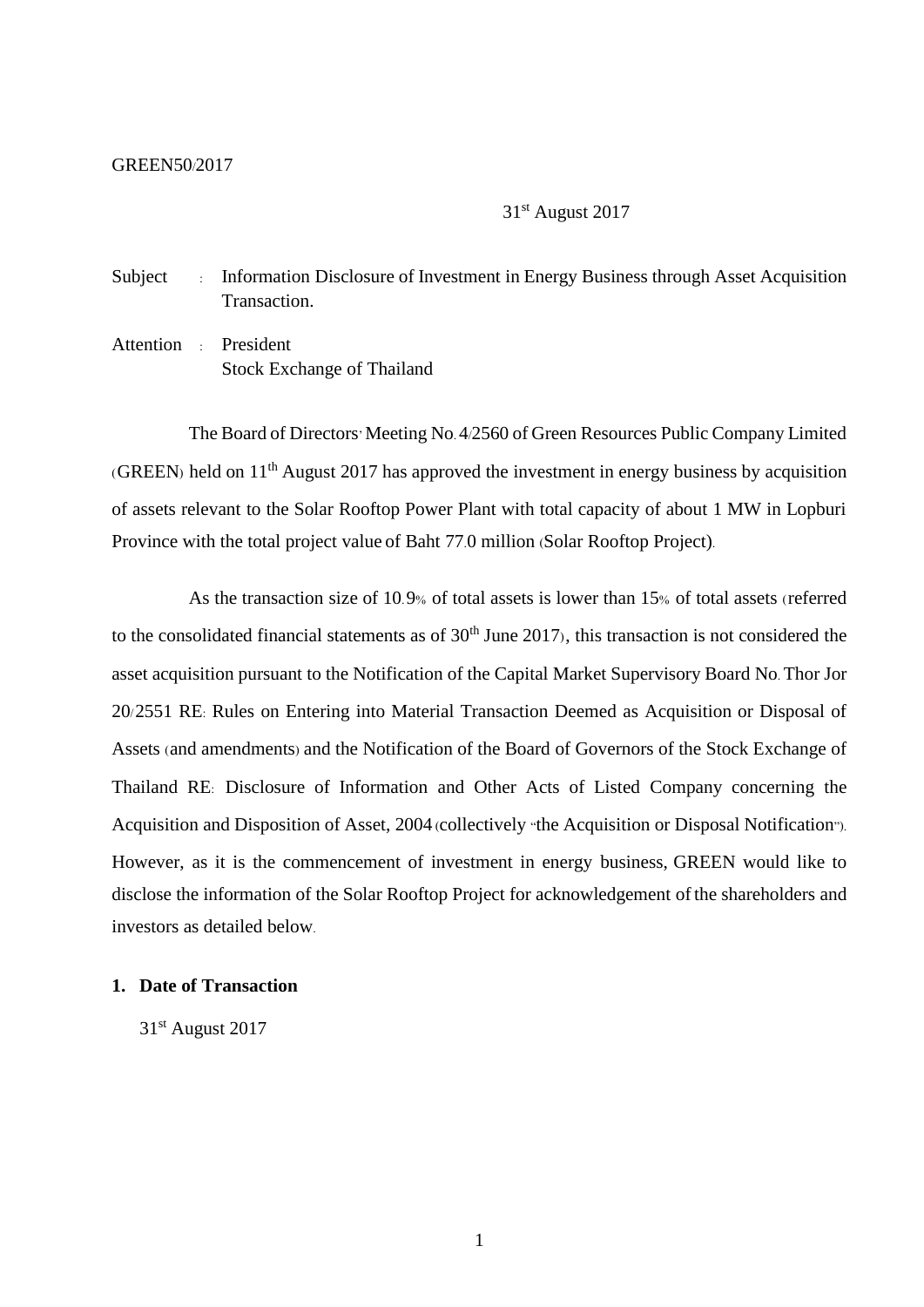#### GREEN50/2017

31st August 2017

Subject : Information Disclosure of Investment in Energy Business through Asset Acquisition Transaction.

Attention : President Stock Exchange of Thailand

The Board of Directors' Meeting No. 4/2560 of Green Resources Public Company Limited (GREEN) held on  $11<sup>th</sup>$  August 2017 has approved the investment in energy business by acquisition of assets relevant to the Solar Rooftop Power Plant with total capacity of about 1 MW in Lopburi Province with the total project value of Baht 77.0 million (Solar Rooftop Project).

As the transaction size of 10.9% of total assets is lower than 15% of total assets (referred to the consolidated financial statements as of  $30<sup>th</sup>$  June 2017), this transaction is not considered the asset acquisition pursuant to the Notification of the Capital Market Supervisory Board No. Thor Jor 20/2551 RE: Rules on Entering into Material Transaction Deemed as Acquisition or Disposal of Assets (and amendments) and the Notification of the Board of Governors of the Stock Exchange of Thailand RE: Disclosure of Information and Other Acts of Listed Company concerning the Acquisition and Disposition of Asset, 2004 (collectively "the Acquisition or Disposal Notification"). However, as it is the commencement of investment in energy business, GREEN would like to disclose the information of the Solar Rooftop Project for acknowledgement ofthe shareholders and investors as detailed below.

### **1. Date of Transaction**

31st August 2017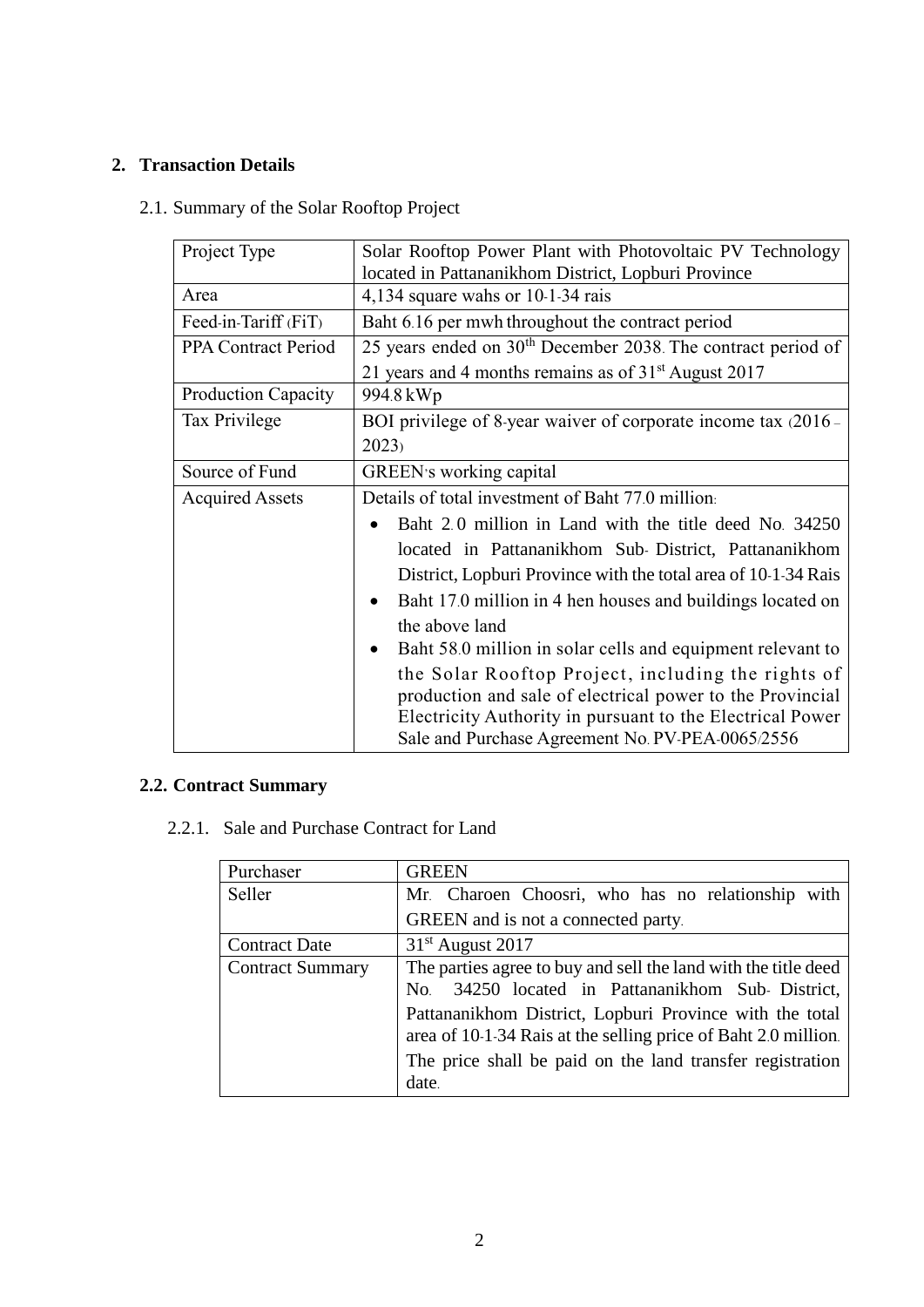## **2. Transaction Details**

## 2.1. Summary of the Solar Rooftop Project

| Project Type               | Solar Rooftop Power Plant with Photovoltaic PV Technology                                                     |  |  |
|----------------------------|---------------------------------------------------------------------------------------------------------------|--|--|
|                            | located in Pattananikhom District, Lopburi Province                                                           |  |  |
| Area                       | 4,134 square wahs or $10-1-34$ rais                                                                           |  |  |
| Feed-in-Tariff (FiT)       | Baht 6.16 per mwh throughout the contract period                                                              |  |  |
| <b>PPA Contract Period</b> | 25 years ended on $30th$ December 2038. The contract period of                                                |  |  |
|                            | 21 years and 4 months remains as of $31st$ August 2017                                                        |  |  |
| <b>Production Capacity</b> | 994.8 kWp                                                                                                     |  |  |
| Tax Privilege              | BOI privilege of 8-year waiver of corporate income tax (2016 -                                                |  |  |
|                            | 2023                                                                                                          |  |  |
| Source of Fund             | GREEN's working capital                                                                                       |  |  |
| <b>Acquired Assets</b>     | Details of total investment of Baht 77.0 million.                                                             |  |  |
|                            | Baht 2.0 million in Land with the title deed No. 34250                                                        |  |  |
|                            | located in Pattananikhom Sub-District, Pattananikhom                                                          |  |  |
|                            | District, Lopburi Province with the total area of 10-1-34 Rais                                                |  |  |
|                            | Baht 17.0 million in 4 hen houses and buildings located on                                                    |  |  |
|                            | the above land                                                                                                |  |  |
|                            | Baht 58.0 million in solar cells and equipment relevant to                                                    |  |  |
|                            | the Solar Rooftop Project, including the rights of                                                            |  |  |
|                            | production and sale of electrical power to the Provincial                                                     |  |  |
|                            | Electricity Authority in pursuant to the Electrical Power<br>Sale and Purchase Agreement No. PV-PEA-0065/2556 |  |  |
|                            |                                                                                                               |  |  |

# **2.2. Contract Summary**

2.2.1. Sale and Purchase Contract for Land

| Purchaser               | <b>GREEN</b>                                                   |  |  |
|-------------------------|----------------------------------------------------------------|--|--|
| Seller                  | Mr. Charoen Choosri, who has no relationship with              |  |  |
|                         | GREEN and is not a connected party.                            |  |  |
| <b>Contract Date</b>    | $31st$ August 2017                                             |  |  |
| <b>Contract Summary</b> | The parties agree to buy and sell the land with the title deed |  |  |
|                         | 34250 located in Pattananikhom Sub-District,<br>No.            |  |  |
|                         | Pattananikhom District, Lopburi Province with the total        |  |  |
|                         | area of 10-1-34 Rais at the selling price of Baht 2.0 million. |  |  |
|                         | The price shall be paid on the land transfer registration      |  |  |
|                         | date.                                                          |  |  |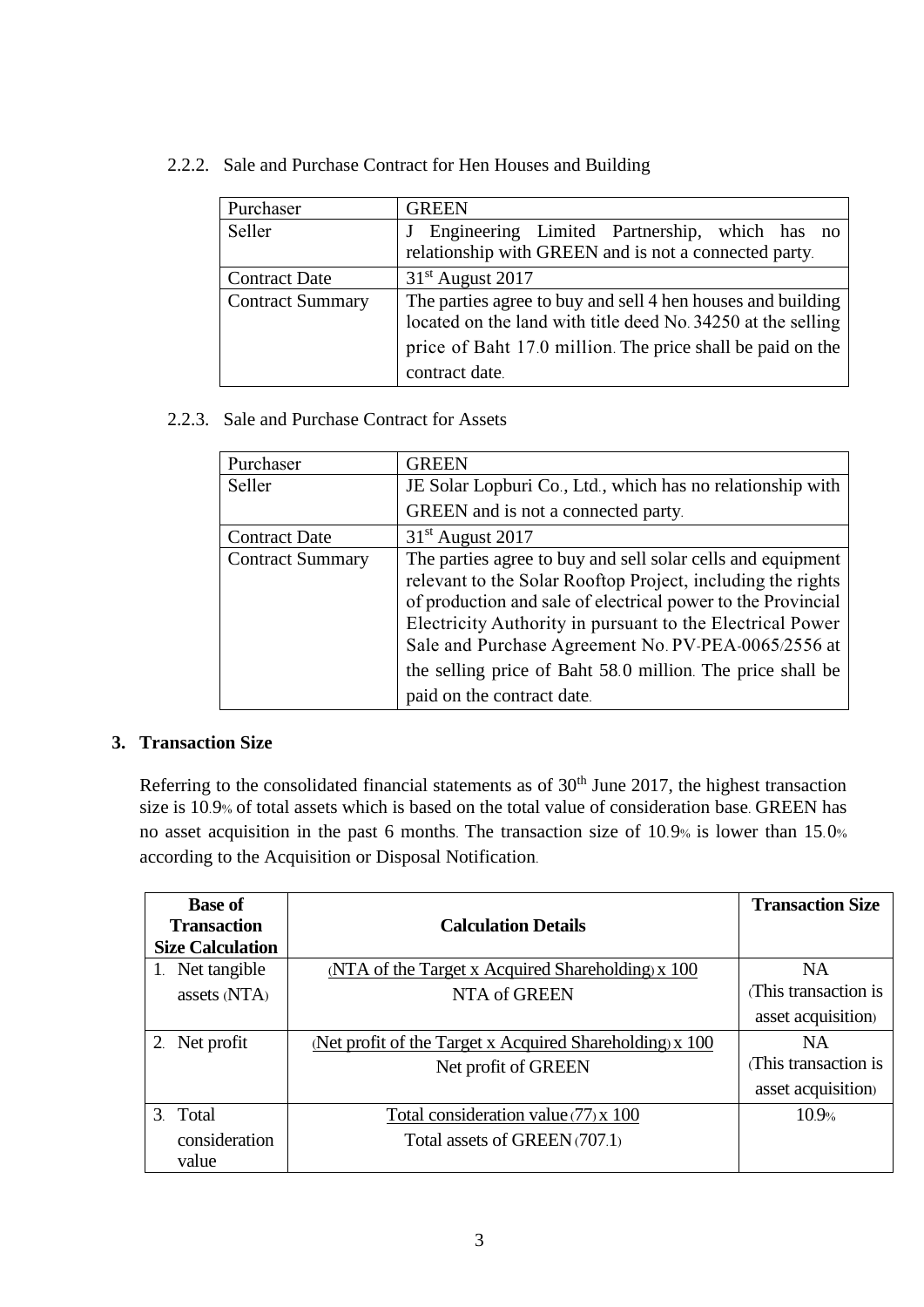2.2.2. Sale and Purchase Contract for Hen Houses and Building

| Purchaser               | <b>GREEN</b>                                                 |  |  |
|-------------------------|--------------------------------------------------------------|--|--|
| Seller                  | Engineering Limited Partnership, which has no                |  |  |
|                         | relationship with GREEN and is not a connected party.        |  |  |
| <b>Contract Date</b>    | $31st$ August 2017                                           |  |  |
| <b>Contract Summary</b> | The parties agree to buy and sell 4 hen houses and building  |  |  |
|                         | located on the land with title deed No. 34250 at the selling |  |  |
|                         | price of Baht 17.0 million. The price shall be paid on the   |  |  |
|                         | contract date.                                               |  |  |

2.2.3. Sale and Purchase Contract for Assets

| Purchaser               | <b>GREEN</b>                                                                                                                                                                                                                                                                                                                                                                                               |  |
|-------------------------|------------------------------------------------------------------------------------------------------------------------------------------------------------------------------------------------------------------------------------------------------------------------------------------------------------------------------------------------------------------------------------------------------------|--|
| Seller                  | JE Solar Lopburi Co., Ltd., which has no relationship with                                                                                                                                                                                                                                                                                                                                                 |  |
|                         | GREEN and is not a connected party.                                                                                                                                                                                                                                                                                                                                                                        |  |
| <b>Contract Date</b>    | $31st$ August 2017                                                                                                                                                                                                                                                                                                                                                                                         |  |
| <b>Contract Summary</b> | The parties agree to buy and sell solar cells and equipment<br>relevant to the Solar Rooftop Project, including the rights<br>of production and sale of electrical power to the Provincial<br>Electricity Authority in pursuant to the Electrical Power<br>Sale and Purchase Agreement No. PV-PEA-0065/2556 at<br>the selling price of Baht 58.0 million. The price shall be<br>paid on the contract date. |  |

### **3. Transaction Size**

Referring to the consolidated financial statements as of  $30<sup>th</sup>$  June 2017, the highest transaction size is 10.9% of total assets which is based on the total value of consideration base. GREEN has no asset acquisition in the past 6 months. The transaction size of 10.9% is lower than 15.0% according to the Acquisition or Disposal Notification.

| <b>Base of</b>          |                                                          | <b>Transaction Size</b> |
|-------------------------|----------------------------------------------------------|-------------------------|
| <b>Transaction</b>      | <b>Calculation Details</b>                               |                         |
| <b>Size Calculation</b> |                                                          |                         |
| 1. Net tangible         | (NTA of the Target x Acquired Shareholding) x 100        | NA                      |
| assets (NTA)            | NTA of GREEN                                             | (This transaction is    |
|                         |                                                          | asset acquisition)      |
| 2. Net profit           | (Net profit of the Target x Acquired Shareholding) x 100 | <b>NA</b>               |
|                         | Net profit of GREEN                                      | This transaction is     |
|                         |                                                          | asset acquisition)      |
| 3. Total                | Total consideration value $(77)$ x 100                   | 10.9%                   |
| consideration           | Total assets of GREEN (707.1)                            |                         |
| value                   |                                                          |                         |